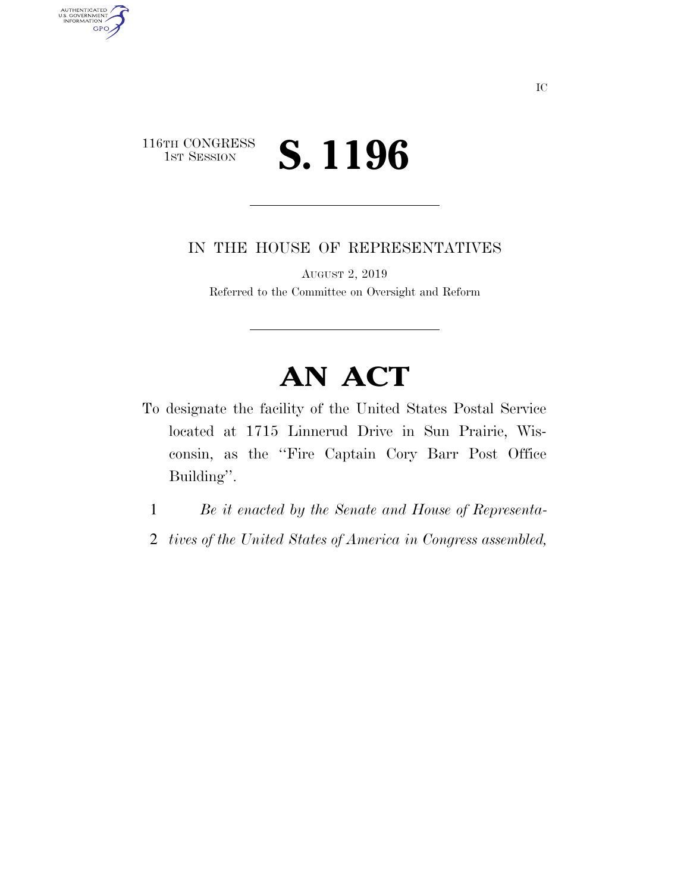## 116TH CONGRESS<br>1st Session 1ST SESSION **S. 1196**

AUTHENTICATED<br>U.S. GOVERNMENT<br>INFORMATION

**GPO** 

IN THE HOUSE OF REPRESENTATIVES

AUGUST 2, 2019 Referred to the Committee on Oversight and Reform

## **AN ACT**

- To designate the facility of the United States Postal Service located at 1715 Linnerud Drive in Sun Prairie, Wisconsin, as the ''Fire Captain Cory Barr Post Office Building''.
	- 1 *Be it enacted by the Senate and House of Representa-*
	- 2 *tives of the United States of America in Congress assembled,*